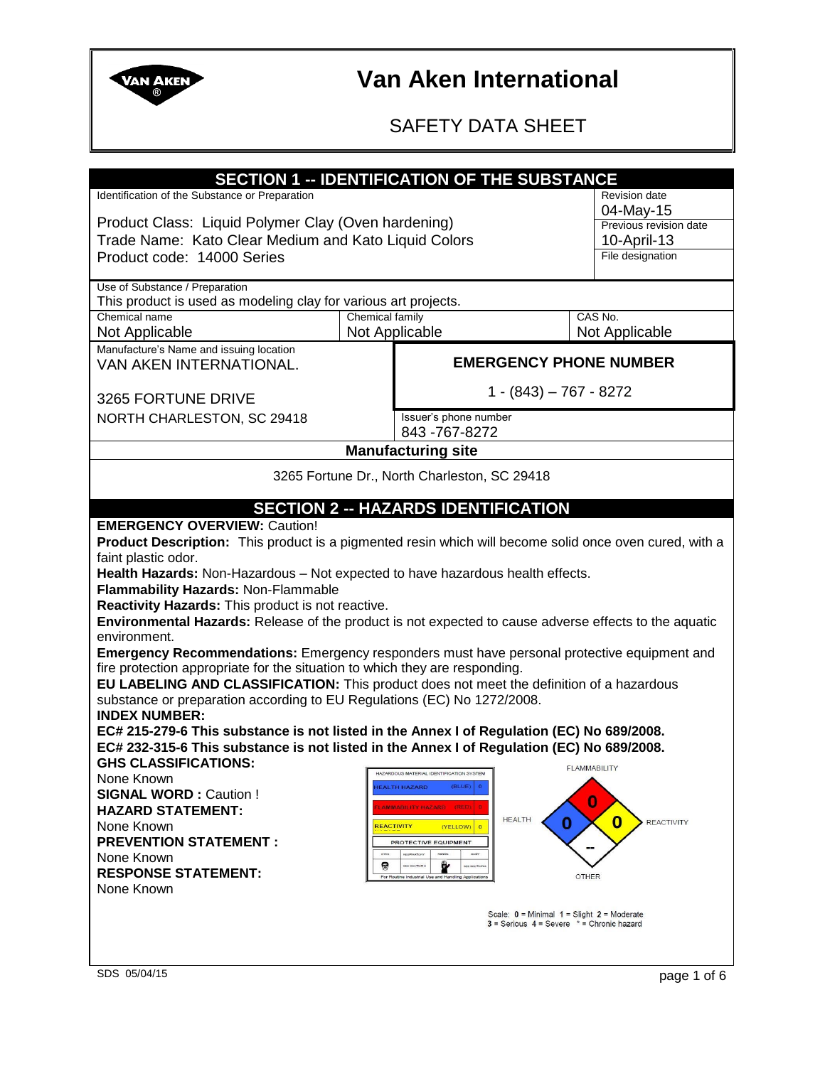

### SAFETY DATA SHEET

| <b>SECTION 1 -- IDENTIFICATION OF THE SUBSTANCE</b><br>Identification of the Substance or Preparation<br><b>Revision date</b>                                       |                                                                          |                                                 |                                   |
|---------------------------------------------------------------------------------------------------------------------------------------------------------------------|--------------------------------------------------------------------------|-------------------------------------------------|-----------------------------------|
|                                                                                                                                                                     |                                                                          |                                                 | 04-May-15                         |
| Product Class: Liquid Polymer Clay (Oven hardening)                                                                                                                 |                                                                          |                                                 | Previous revision date            |
| Trade Name: Kato Clear Medium and Kato Liquid Colors                                                                                                                |                                                                          |                                                 | 10-April-13                       |
| Product code: 14000 Series                                                                                                                                          |                                                                          |                                                 | File designation                  |
|                                                                                                                                                                     |                                                                          |                                                 |                                   |
| Use of Substance / Preparation                                                                                                                                      |                                                                          |                                                 |                                   |
| This product is used as modeling clay for various art projects.<br>Chemical name                                                                                    | Chemical family                                                          |                                                 |                                   |
|                                                                                                                                                                     |                                                                          |                                                 | CAS No.                           |
| Not Applicable                                                                                                                                                      | Not Applicable                                                           |                                                 | Not Applicable                    |
| Manufacture's Name and issuing location<br><b>EMERGENCY PHONE NUMBER</b><br>VAN AKEN INTERNATIONAL.                                                                 |                                                                          |                                                 |                                   |
|                                                                                                                                                                     |                                                                          |                                                 |                                   |
| 3265 FORTUNE DRIVE                                                                                                                                                  |                                                                          | $1 - (843) - 767 - 8272$                        |                                   |
|                                                                                                                                                                     | Issuer's phone number                                                    |                                                 |                                   |
| NORTH CHARLESTON, SC 29418                                                                                                                                          | 843-767-8272                                                             |                                                 |                                   |
|                                                                                                                                                                     | <b>Manufacturing site</b>                                                |                                                 |                                   |
|                                                                                                                                                                     |                                                                          |                                                 |                                   |
|                                                                                                                                                                     | 3265 Fortune Dr., North Charleston, SC 29418                             |                                                 |                                   |
|                                                                                                                                                                     |                                                                          |                                                 |                                   |
|                                                                                                                                                                     | <b>SECTION 2 -- HAZARDS IDENTIFICATION</b>                               |                                                 |                                   |
| <b>EMERGENCY OVERVIEW: Caution!</b>                                                                                                                                 |                                                                          |                                                 |                                   |
| Product Description: This product is a pigmented resin which will become solid once oven cured, with a                                                              |                                                                          |                                                 |                                   |
| faint plastic odor.                                                                                                                                                 |                                                                          |                                                 |                                   |
| Health Hazards: Non-Hazardous - Not expected to have hazardous health effects.                                                                                      |                                                                          |                                                 |                                   |
| Flammability Hazards: Non-Flammable                                                                                                                                 |                                                                          |                                                 |                                   |
| Reactivity Hazards: This product is not reactive.                                                                                                                   |                                                                          |                                                 |                                   |
| Environmental Hazards: Release of the product is not expected to cause adverse effects to the aquatic                                                               |                                                                          |                                                 |                                   |
| environment.                                                                                                                                                        |                                                                          |                                                 |                                   |
| Emergency Recommendations: Emergency responders must have personal protective equipment and                                                                         |                                                                          |                                                 |                                   |
| fire protection appropriate for the situation to which they are responding.                                                                                         |                                                                          |                                                 |                                   |
| EU LABELING AND CLASSIFICATION: This product does not meet the definition of a hazardous<br>substance or preparation according to EU Regulations (EC) No 1272/2008. |                                                                          |                                                 |                                   |
| <b>INDEX NUMBER:</b>                                                                                                                                                |                                                                          |                                                 |                                   |
| EC# 215-279-6 This substance is not listed in the Annex I of Regulation (EC) No 689/2008.                                                                           |                                                                          |                                                 |                                   |
| EC# 232-315-6 This substance is not listed in the Annex I of Regulation (EC) No 689/2008.                                                                           |                                                                          |                                                 |                                   |
| <b>GHS CLASSIFICATIONS:</b>                                                                                                                                         |                                                                          |                                                 |                                   |
| None Known                                                                                                                                                          | HAZARDOUS MATERIAL IDENTIFICATION SYSTEM                                 | <b>FLAMMABILITY</b>                             |                                   |
| <b>SIGNAL WORD: Caution!</b>                                                                                                                                        | <b>IEALTH HAZARD</b><br>(BLUE)                                           |                                                 |                                   |
| <b>HAZARD STATEMENT:</b>                                                                                                                                            | MMABILITY HAZARD (RED)                                                   | O                                               |                                   |
| None Known                                                                                                                                                          | <b>REACTIVITY</b><br>(YELLOW)                                            | <b>HEALTH</b><br>0                              | $\mathbf{0}$<br><b>REACTIVITY</b> |
| <b>PREVENTION STATEMENT:</b>                                                                                                                                        | PROTECTIVE EQUIPMENT                                                     |                                                 |                                   |
| None Known                                                                                                                                                          | <b>IESPIRATOR</b>                                                        |                                                 |                                   |
| <b>RESPONSE STATEMENT:</b>                                                                                                                                          | 9<br>SEE SECTION<br>For Routine Industrial Use and Handling Applications | OTHER                                           |                                   |
| None Known                                                                                                                                                          |                                                                          |                                                 |                                   |
| Scale: $0 =$ Minimal $1 =$ Slight $2 =$ Moderate                                                                                                                    |                                                                          |                                                 |                                   |
|                                                                                                                                                                     |                                                                          | $3 =$ Serious $4 =$ Severe $* =$ Chronic hazard |                                   |
|                                                                                                                                                                     |                                                                          |                                                 |                                   |
|                                                                                                                                                                     |                                                                          |                                                 |                                   |
| SDS 05/04/15                                                                                                                                                        |                                                                          |                                                 | page 1 of 6                       |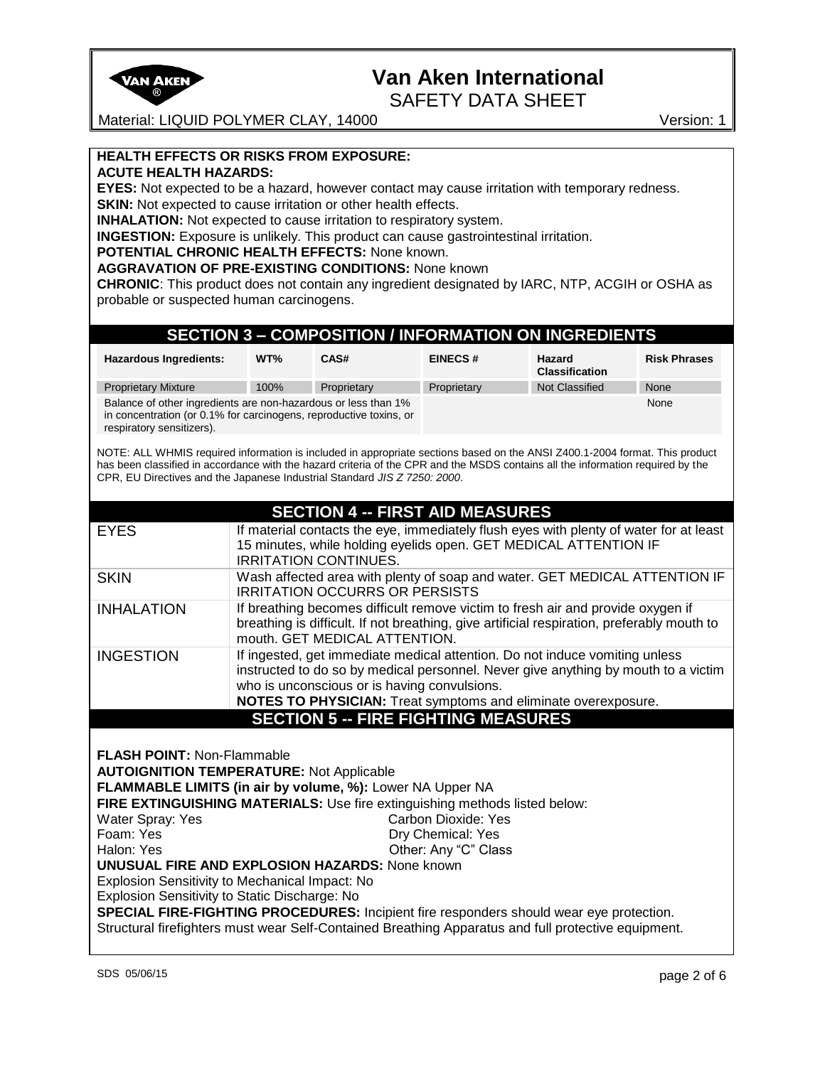

SAFETY DATA SHEET

Material: LIQUID POLYMER CLAY, 14000 Version: 1

### **HEALTH EFFECTS OR RISKS FROM EXPOSURE:**

**ACUTE HEALTH HAZARDS:** 

**EYES:** Not expected to be a hazard, however contact may cause irritation with temporary redness. **SKIN:** Not expected to cause irritation or other health effects.

**INHALATION:** Not expected to cause irritation to respiratory system.

**INGESTION:** Exposure is unlikely. This product can cause gastrointestinal irritation.

#### **POTENTIAL CHRONIC HEALTH EFFECTS:** None known.

**AGGRAVATION OF PRE-EXISTING CONDITIONS:** None known

**CHRONIC**: This product does not contain any ingredient designated by IARC, NTP, ACGIH or OSHA as probable or suspected human carcinogens.

### **SECTION 3 – COMPOSITION / INFORMATION ON INGREDIENTS**

| <b>Hazardous Ingredients:</b>                                                                                                                                     | WT%  | CAS#        | <b>EINECS#</b> | Hazard<br><b>Classification</b> | <b>Risk Phrases</b> |
|-------------------------------------------------------------------------------------------------------------------------------------------------------------------|------|-------------|----------------|---------------------------------|---------------------|
| <b>Proprietary Mixture</b>                                                                                                                                        | 100% | Proprietary | Proprietary    | <b>Not Classified</b>           | None                |
| Balance of other ingredients are non-hazardous or less than 1%<br>in concentration (or 0.1% for carcinogens, reproductive toxins, or<br>respiratory sensitizers). |      |             |                | None                            |                     |

NOTE: ALL WHMIS required information is included in appropriate sections based on the ANSI Z400.1-2004 format. This product has been classified in accordance with the hazard criteria of the CPR and the MSDS contains all the information required by the CPR, EU Directives and the Japanese Industrial Standard *JIS Z 7250: 2000*.

|                   | <b>SECTION 4 -- FIRST AID MEASURES</b>                                                                                                                                                                                                                                              |
|-------------------|-------------------------------------------------------------------------------------------------------------------------------------------------------------------------------------------------------------------------------------------------------------------------------------|
| <b>EYES</b>       | If material contacts the eye, immediately flush eyes with plenty of water for at least<br>15 minutes, while holding eyelids open. GET MEDICAL ATTENTION IF<br><b>IRRITATION CONTINUES.</b>                                                                                          |
| <b>SKIN</b>       | Wash affected area with plenty of soap and water. GET MEDICAL ATTENTION IF<br><b>IRRITATION OCCURRS OR PERSISTS</b>                                                                                                                                                                 |
| <b>INHALATION</b> | If breathing becomes difficult remove victim to fresh air and provide oxygen if<br>breathing is difficult. If not breathing, give artificial respiration, preferably mouth to<br>mouth. GET MEDICAL ATTENTION.                                                                      |
| <b>INGESTION</b>  | If ingested, get immediate medical attention. Do not induce vomiting unless<br>instructed to do so by medical personnel. Never give anything by mouth to a victim<br>who is unconscious or is having convulsions.<br>NOTES TO PHYSICIAN: Treat symptoms and eliminate overexposure. |
|                   | <b>SECTION 5 -- FIRE FIGHTING MEASURES</b>                                                                                                                                                                                                                                          |

**FLASH POINT:** Non-Flammable

**AUTOIGNITION TEMPERATURE:** Not Applicable

**FLAMMABLE LIMITS (in air by volume, %):** Lower NA Upper NA

**FIRE EXTINGUISHING MATERIALS:** Use fire extinguishing methods listed below:

Water Spray: Yes Carbon Dioxide: Yes Foam: Yes Dry Chemical: Yes

Halon: Yes **Canadian Community** Community Community Community Community Community Community Community Community Community Community Community Community Community Community Community Community Community Community Community **UNUSUAL FIRE AND EXPLOSION HAZARDS:** None known

### Explosion Sensitivity to Mechanical Impact: No

Explosion Sensitivity to Static Discharge: No

**SPECIAL FIRE-FIGHTING PROCEDURES:** Incipient fire responders should wear eye protection. Structural firefighters must wear Self-Contained Breathing Apparatus and full protective equipment.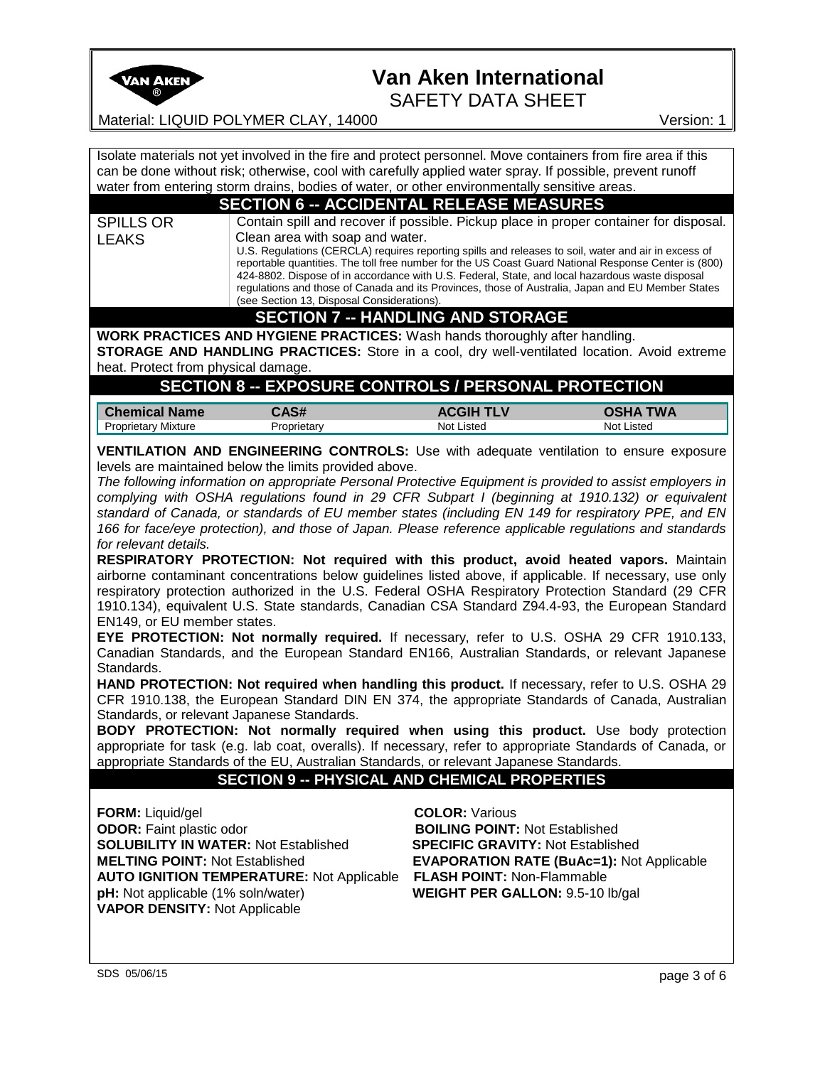

SAFETY DATA SHEET

Material: LIQUID POLYMER CLAY, 14000 Version: 1

Isolate materials not yet involved in the fire and protect personnel. Move containers from fire area if this can be done without risk; otherwise, cool with carefully applied water spray. If possible, prevent runoff water from entering storm drains, bodies of water, or other environmentally sensitive areas.

#### **SECTION 6 -- ACCIDENTAL RELEASE MEASURES**

SPILLS OR LEAKS Contain spill and recover if possible. Pickup place in proper container for disposal. Clean area with soap and water. U.S. Regulations (CERCLA) requires reporting spills and releases to soil, water and air in excess of reportable quantities. The toll free number for the US Coast Guard National Response Center is (800) 424-8802. Dispose of in accordance with U.S. Federal, State, and local hazardous waste disposal

regulations and those of Canada and its Provinces, those of Australia, Japan and EU Member States (see Section 13, Disposal Considerations).

### **SECTION 7 -- HANDLING AND STORAGE**

**WORK PRACTICES AND HYGIENE PRACTICES:** Wash hands thoroughly after handling. **STORAGE AND HANDLING PRACTICES:** Store in a cool, dry well-ventilated location. Avoid extreme

heat. Protect from physical damage.

### **SECTION 8 -- EXPOSURE CONTROLS / PERSONAL PROTECTION**

| <b>Chemical Name</b>     | $AA$ $C$ <sup><math>H</math></sup> | ACGII      | <b>WA</b>  |
|--------------------------|------------------------------------|------------|------------|
| ' Mixture<br>Proprietary | roprietarv                         | Not Listed | Not Listed |

**VENTILATION AND ENGINEERING CONTROLS:** Use with adequate ventilation to ensure exposure levels are maintained below the limits provided above.

*The following information on appropriate Personal Protective Equipment is provided to assist employers in complying with OSHA regulations found in 29 CFR Subpart I (beginning at 1910.132) or equivalent standard of Canada, or standards of EU member states (including EN 149 for respiratory PPE, and EN 166 for face/eye protection), and those of Japan. Please reference applicable regulations and standards for relevant details.* 

**RESPIRATORY PROTECTION: Not required with this product, avoid heated vapors.** Maintain airborne contaminant concentrations below guidelines listed above, if applicable. If necessary, use only respiratory protection authorized in the U.S. Federal OSHA Respiratory Protection Standard (29 CFR 1910.134), equivalent U.S. State standards, Canadian CSA Standard Z94.4-93, the European Standard EN149, or EU member states.

**EYE PROTECTION: Not normally required.** If necessary, refer to U.S. OSHA 29 CFR 1910.133, Canadian Standards, and the European Standard EN166, Australian Standards, or relevant Japanese Standards.

**HAND PROTECTION: Not required when handling this product.** If necessary, refer to U.S. OSHA 29 CFR 1910.138, the European Standard DIN EN 374, the appropriate Standards of Canada, Australian Standards, or relevant Japanese Standards.

**BODY PROTECTION: Not normally required when using this product.** Use body protection appropriate for task (e.g. lab coat, overalls). If necessary, refer to appropriate Standards of Canada, or appropriate Standards of the EU, Australian Standards, or relevant Japanese Standards.

#### **SECTION 9 -- PHYSICAL AND CHEMICAL PROPERTIES**

**FORM:** Liquid/gel **COLOR:** Various **ODOR:** Faint plastic odor **BOILING POINT:** Not Established **SOLUBILITY IN WATER:** Not Established **SPECIFIC GRAVITY:** Not Established **MELTING POINT:** Not Established **EVAPORATION RATE (BuAc=1):** Not Applicable **AUTO IGNITION TEMPERATURE:** Not Applicable **FLASH POINT:** Non-Flammable **pH:** Not applicable (1% soln/water) **WEIGHT PER GALLON:** 9.5-10 lb/gal **VAPOR DENSITY:** Not Applicable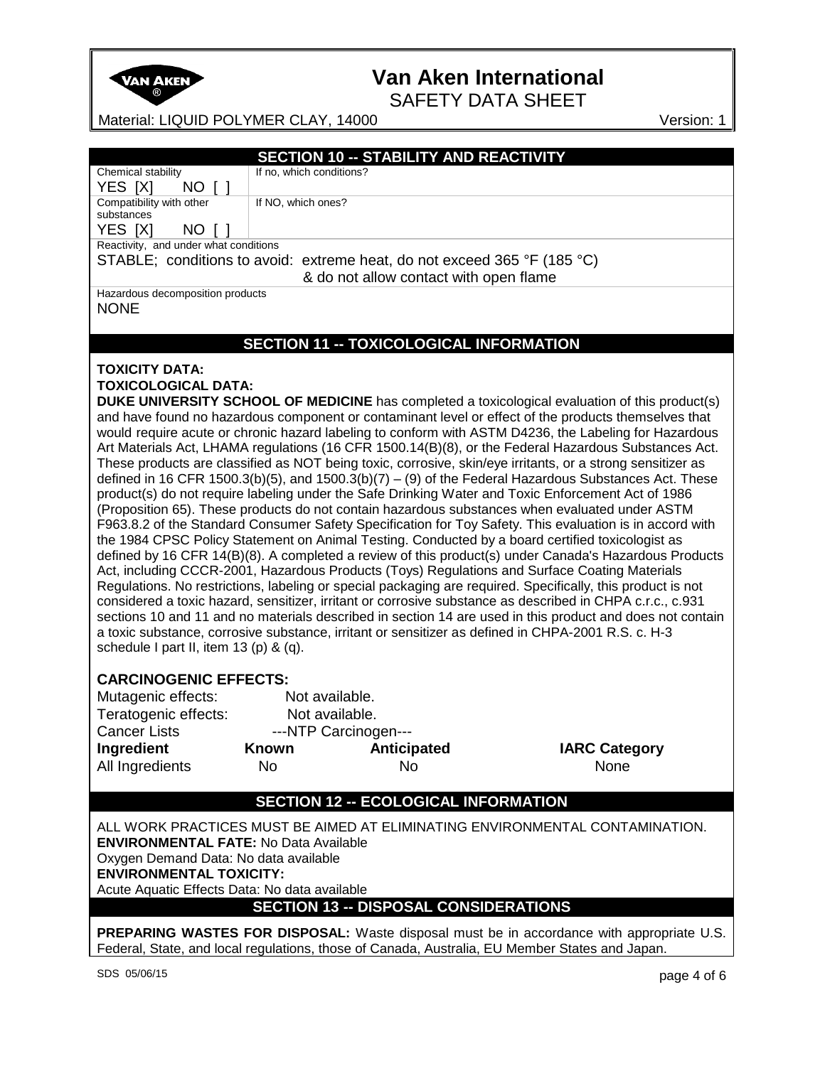

SAFETY DATA SHEET

Material: LIQUID POLYMER CLAY, 14000 Version: 1

|                                                                                                       | <b>SECTION 10 -- STABILITY AND REACTIVITY</b>  |                                        |                                                                                                             |  |
|-------------------------------------------------------------------------------------------------------|------------------------------------------------|----------------------------------------|-------------------------------------------------------------------------------------------------------------|--|
| Chemical stability                                                                                    | If no, which conditions?                       |                                        |                                                                                                             |  |
| NO [ ]<br>YES [X]                                                                                     |                                                |                                        |                                                                                                             |  |
| Compatibility with other                                                                              | If NO, which ones?                             |                                        |                                                                                                             |  |
| substances                                                                                            |                                                |                                        |                                                                                                             |  |
| YES [X]<br>NO [ ]                                                                                     |                                                |                                        |                                                                                                             |  |
| Reactivity, and under what conditions                                                                 |                                                |                                        |                                                                                                             |  |
| STABLE; conditions to avoid: extreme heat, do not exceed 365 °F (185 °C)                              |                                                |                                        |                                                                                                             |  |
|                                                                                                       |                                                | & do not allow contact with open flame |                                                                                                             |  |
| Hazardous decomposition products                                                                      |                                                |                                        |                                                                                                             |  |
| <b>NONE</b>                                                                                           |                                                |                                        |                                                                                                             |  |
|                                                                                                       |                                                |                                        |                                                                                                             |  |
|                                                                                                       | <b>SECTION 11 -- TOXICOLOGICAL INFORMATION</b> |                                        |                                                                                                             |  |
|                                                                                                       |                                                |                                        |                                                                                                             |  |
| <b>TOXICITY DATA:</b>                                                                                 |                                                |                                        |                                                                                                             |  |
| <b>TOXICOLOGICAL DATA:</b>                                                                            |                                                |                                        |                                                                                                             |  |
|                                                                                                       |                                                |                                        | DUKE UNIVERSITY SCHOOL OF MEDICINE has completed a toxicological evaluation of this product(s)              |  |
|                                                                                                       |                                                |                                        | and have found no hazardous component or contaminant level or effect of the products themselves that        |  |
|                                                                                                       |                                                |                                        | would require acute or chronic hazard labeling to conform with ASTM D4236, the Labeling for Hazardous       |  |
|                                                                                                       |                                                |                                        | Art Materials Act, LHAMA regulations (16 CFR 1500.14(B)(8), or the Federal Hazardous Substances Act.        |  |
|                                                                                                       |                                                |                                        | These products are classified as NOT being toxic, corrosive, skin/eye irritants, or a strong sensitizer as  |  |
|                                                                                                       |                                                |                                        | defined in 16 CFR 1500.3(b)(5), and 1500.3(b)(7) - (9) of the Federal Hazardous Substances Act. These       |  |
|                                                                                                       |                                                |                                        | product(s) do not require labeling under the Safe Drinking Water and Toxic Enforcement Act of 1986          |  |
|                                                                                                       |                                                |                                        | (Proposition 65). These products do not contain hazardous substances when evaluated under ASTM              |  |
|                                                                                                       |                                                |                                        | F963.8.2 of the Standard Consumer Safety Specification for Toy Safety. This evaluation is in accord with    |  |
|                                                                                                       |                                                |                                        | the 1984 CPSC Policy Statement on Animal Testing. Conducted by a board certified toxicologist as            |  |
| defined by 16 CFR 14(B)(8). A completed a review of this product(s) under Canada's Hazardous Products |                                                |                                        |                                                                                                             |  |
|                                                                                                       |                                                |                                        | Act, including CCCR-2001, Hazardous Products (Toys) Regulations and Surface Coating Materials               |  |
|                                                                                                       |                                                |                                        | Regulations. No restrictions, labeling or special packaging are required. Specifically, this product is not |  |
|                                                                                                       |                                                |                                        | considered a toxic hazard, sensitizer, irritant or corrosive substance as described in CHPA c.r.c., c.931   |  |
|                                                                                                       |                                                |                                        | sections 10 and 11 and no materials described in section 14 are used in this product and does not contain   |  |
|                                                                                                       |                                                |                                        | a toxic substance, corrosive substance, irritant or sensitizer as defined in CHPA-2001 R.S. c. H-3          |  |
| schedule I part II, item 13 (p) & (q).                                                                |                                                |                                        |                                                                                                             |  |
|                                                                                                       |                                                |                                        |                                                                                                             |  |
| <b>CARCINOGENIC EFFECTS:</b>                                                                          |                                                |                                        |                                                                                                             |  |
| Mutagenic effects:                                                                                    | Not available.                                 |                                        |                                                                                                             |  |
| Teratogenic effects:                                                                                  | Not available.                                 |                                        |                                                                                                             |  |
| <b>Cancer Lists</b>                                                                                   | ---NTP Carcinogen---                           |                                        |                                                                                                             |  |
| Ingredient                                                                                            | Known                                          | <b>Anticipated</b>                     | <b>IARC Category</b>                                                                                        |  |
| All Ingredients                                                                                       | No.                                            | No                                     | None                                                                                                        |  |
|                                                                                                       |                                                |                                        |                                                                                                             |  |
|                                                                                                       | <b>SECTION 12 -- ECOLOGICAL INFORMATION</b>    |                                        |                                                                                                             |  |
|                                                                                                       |                                                |                                        | ALL WORK PRACTICES MUST BE AIMED AT ELIMINATING ENVIRONMENTAL CONTAMINATION.                                |  |
|                                                                                                       |                                                |                                        |                                                                                                             |  |
| <b>ENVIRONMENTAL FATE: No Data Available</b>                                                          |                                                |                                        |                                                                                                             |  |
| Oxygen Demand Data: No data available                                                                 |                                                |                                        |                                                                                                             |  |
| <b>ENVIRONMENTAL TOXICITY:</b>                                                                        |                                                |                                        |                                                                                                             |  |
| Acute Aquatic Effects Data: No data available                                                         |                                                |                                        |                                                                                                             |  |
| <b>SECTION 13 -- DISPOSAL CONSIDERATIONS</b>                                                          |                                                |                                        |                                                                                                             |  |
|                                                                                                       |                                                |                                        | <b>PREPARING WASTES FOR DISPOSAL:</b> Waste disposal must be in accordance with appropriate U.S.            |  |
| Federal, State, and local regulations, those of Canada, Australia, EU Member States and Japan.        |                                                |                                        |                                                                                                             |  |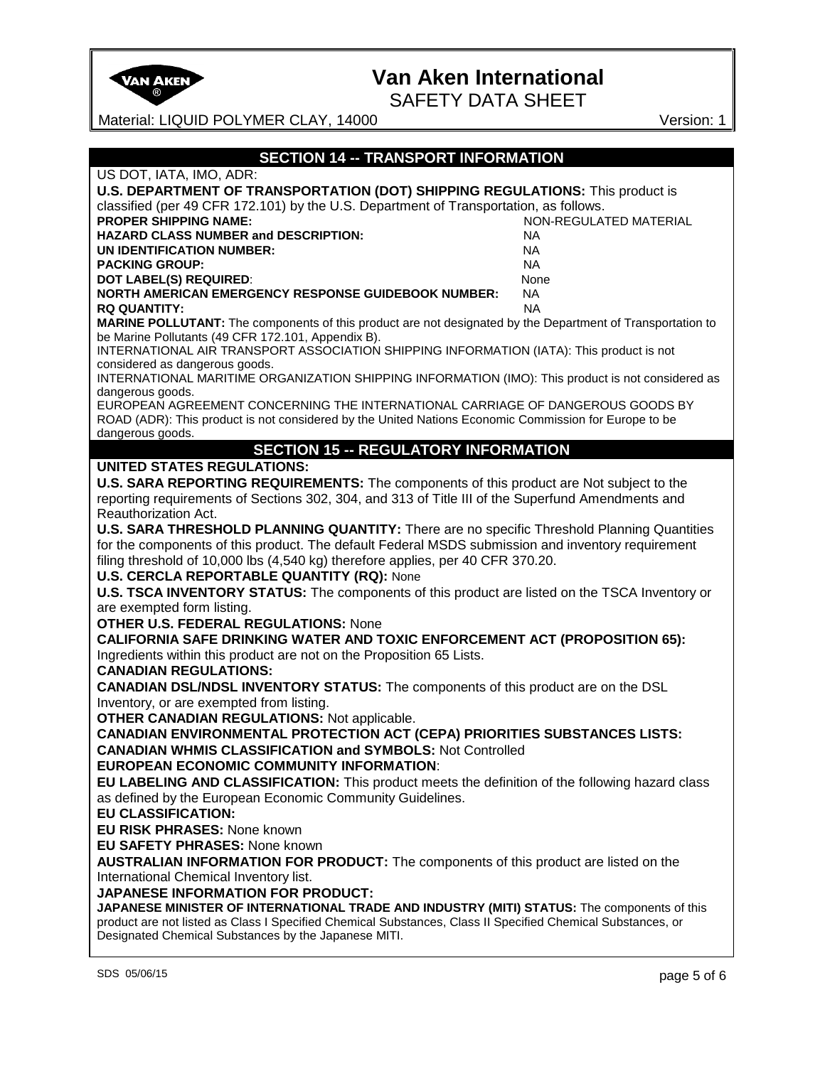

SAFETY DATA SHEET

Material: LIQUID POLYMER CLAY, 14000 Version: 1

| <b>SECTION 14 -- TRANSPORT INFORMATION</b>                                                                                                                                              |
|-----------------------------------------------------------------------------------------------------------------------------------------------------------------------------------------|
| US DOT, IATA, IMO, ADR:                                                                                                                                                                 |
| U.S. DEPARTMENT OF TRANSPORTATION (DOT) SHIPPING REGULATIONS: This product is                                                                                                           |
| classified (per 49 CFR 172.101) by the U.S. Department of Transportation, as follows.                                                                                                   |
| <b>PROPER SHIPPING NAME:</b><br>NON-REGULATED MATERIAL                                                                                                                                  |
| <b>HAZARD CLASS NUMBER and DESCRIPTION:</b><br><b>NA</b>                                                                                                                                |
| UN IDENTIFICATION NUMBER:<br>NA.                                                                                                                                                        |
| <b>PACKING GROUP:</b><br><b>NA</b>                                                                                                                                                      |
| <b>DOT LABEL(S) REQUIRED:</b><br>None                                                                                                                                                   |
| <b>NORTH AMERICAN EMERGENCY RESPONSE GUIDEBOOK NUMBER:</b><br><b>NA</b>                                                                                                                 |
| <b>RQ QUANTITY:</b><br><b>NA</b>                                                                                                                                                        |
| MARINE POLLUTANT: The components of this product are not designated by the Department of Transportation to<br>be Marine Pollutants (49 CFR 172.101, Appendix B).                        |
| INTERNATIONAL AIR TRANSPORT ASSOCIATION SHIPPING INFORMATION (IATA): This product is not<br>considered as dangerous goods.                                                              |
| INTERNATIONAL MARITIME ORGANIZATION SHIPPING INFORMATION (IMO): This product is not considered as<br>dangerous goods.                                                                   |
| EUROPEAN AGREEMENT CONCERNING THE INTERNATIONAL CARRIAGE OF DANGEROUS GOODS BY<br>ROAD (ADR): This product is not considered by the United Nations Economic Commission for Europe to be |
| dangerous goods.                                                                                                                                                                        |
| <b>SECTION 15 -- REGULATORY INFORMATION</b>                                                                                                                                             |
| <b>UNITED STATES REGULATIONS:</b>                                                                                                                                                       |
| U.S. SARA REPORTING REQUIREMENTS: The components of this product are Not subject to the                                                                                                 |
| reporting requirements of Sections 302, 304, and 313 of Title III of the Superfund Amendments and                                                                                       |
| Reauthorization Act.                                                                                                                                                                    |
| U.S. SARA THRESHOLD PLANNING QUANTITY: There are no specific Threshold Planning Quantities                                                                                              |
| for the components of this product. The default Federal MSDS submission and inventory requirement                                                                                       |
|                                                                                                                                                                                         |
| filing threshold of 10,000 lbs (4,540 kg) therefore applies, per 40 CFR 370.20.<br><b>U.S. CERCLA REPORTABLE QUANTITY (RQ): None</b>                                                    |
|                                                                                                                                                                                         |
| U.S. TSCA INVENTORY STATUS: The components of this product are listed on the TSCA Inventory or                                                                                          |
| are exempted form listing.<br><b>OTHER U.S. FEDERAL REGULATIONS: None</b>                                                                                                               |
|                                                                                                                                                                                         |
| <b>CALIFORNIA SAFE DRINKING WATER AND TOXIC ENFORCEMENT ACT (PROPOSITION 65):</b>                                                                                                       |
| Ingredients within this product are not on the Proposition 65 Lists.                                                                                                                    |
| <b>CANADIAN REGULATIONS:</b>                                                                                                                                                            |
| <b>CANADIAN DSL/NDSL INVENTORY STATUS:</b> The components of this product are on the DSL                                                                                                |
| Inventory, or are exempted from listing.                                                                                                                                                |
| <b>OTHER CANADIAN REGULATIONS: Not applicable.</b>                                                                                                                                      |
| <b>CANADIAN ENVIRONMENTAL PROTECTION ACT (CEPA) PRIORITIES SUBSTANCES LISTS:</b>                                                                                                        |
| <b>CANADIAN WHMIS CLASSIFICATION and SYMBOLS: Not Controlled</b>                                                                                                                        |
| <b>EUROPEAN ECONOMIC COMMUNITY INFORMATION:</b>                                                                                                                                         |
| EU LABELING AND CLASSIFICATION: This product meets the definition of the following hazard class                                                                                         |
| as defined by the European Economic Community Guidelines.                                                                                                                               |
| <b>EU CLASSIFICATION:</b>                                                                                                                                                               |
| <b>EU RISK PHRASES: None known</b>                                                                                                                                                      |
| <b>EU SAFETY PHRASES: None known</b>                                                                                                                                                    |
| <b>AUSTRALIAN INFORMATION FOR PRODUCT:</b> The components of this product are listed on the                                                                                             |
| International Chemical Inventory list.                                                                                                                                                  |
| JAPANESE INFORMATION FOR PRODUCT:                                                                                                                                                       |
| JAPANESE MINISTER OF INTERNATIONAL TRADE AND INDUSTRY (MITI) STATUS: The components of this                                                                                             |
| product are not listed as Class I Specified Chemical Substances, Class II Specified Chemical Substances, or                                                                             |
| Designated Chemical Substances by the Japanese MITI.                                                                                                                                    |
|                                                                                                                                                                                         |